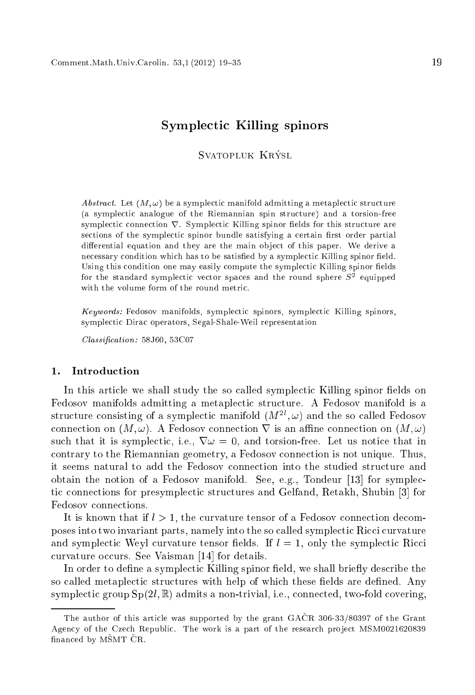# $\sim$  , and  $\sim$  times are spinors and  $\sim$  the spinors of  $\sim$

SVATOPLUK KRÝSL Svatopluk Krysl

Abstract. Let  $(M, \omega)$  be a symplectic manifold admitting a metaplectic structure (a symple
ti analogue of the Riemannian spin stru
ture) and a torsion-free symplectic connection  $\nabla$ . Symplectic Killing spinor fields for this structure are sections of the symplectic spinor bundle satisfying a certain first order partial differential equation and they are the main object of this paper. We derive a necessary condition which has to be satisfied by a symplectic Killing spinor field. Using this condition one may easily compute the symplectic Killing spinor fields for the standard symplectic vector spaces and the round sphere  $\beta$  - equipped with the volume form of the round metric.

Keywords: Fedosov manifolds, symplectic spinors, symplectic Killing spinors, symple
ti Dira operators, Segal-Shale-Weil representation

 $Classification: 58J60, 53C07$ 

In this article we shall study the so called symplectic Killing spinor fields on Fedosov manifolds admitting a metaplectic structure. A Fedosov manifold is a structure consisting of a symplectic manifold  $(M^-, \omega)$  and the so called Fedosov connection on  $(M, \omega)$ . A Fedosov connection  $\nabla$  is an affine connection on  $(M, \omega)$ such that it is symplectic, i.e.,  $\nabla \omega = 0$ , and torsion-free. Let us notice that in ontrary to the Riemannian geometry, <sup>a</sup> Fedosov onne
tion is not unique. Thus, it seems natural to add the Fedosov onne
tion into the studied stru
ture and obtain the notion of a Fedosov manifold. See, e.g., Tondeur  $[13]$  for symplectic connections for presymplectic structures and Gelfand, Retakh, Shubin [3] for Fedosov connections.

It is known that if  $l > 1$ , the curvature tensor of a Fedosov connection decomposes into two invariant parts, namely into the so called symplectic Ricci curvature and symplectic Weyl curvature tensor fields. If  $l = 1$ , only the symplectic Ricci curvature occurs. See Vaisman [14] for details.

In order to define a symplectic Killing spinor field, we shall briefly describe the so called metaplectic structures with help of which these fields are defined. Any symplectic group  $Sp(2l,\mathbb{R})$  admits a non-trivial, i.e., connected, two-fold covering,

The author of this arti
le was supported by the grant GACR 306-33/80397 of the Grant Agency of the Czech Republic. The work is a part of the research project MSM0021620839 financed by MSMT CR.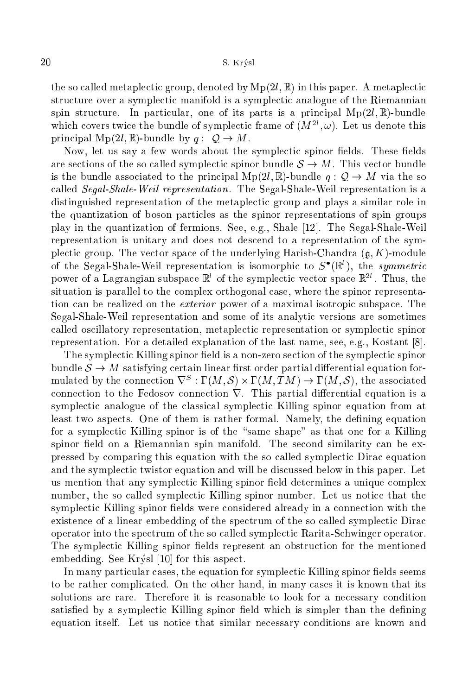the so called metaplectic group, denoted by  $Mp(2l, \mathbb{R})$  in this paper. A metaplectic structure over a symplectic manifold is a symplectic analogue of the Riemannian spin structure. In particular, one of its parts is a principal  $Mp(2l, \mathbb{R})$ -bundle which covers twice the bundle of symplectic frame of  $(M_-, \omega)$ . Let us denote this principal  $Mp(2l, \mathbb{R})$ -bundle by  $q: \mathcal{Q} \to M$ .

Now, let us say a few words about the symplectic spinor fields. These fields are sections of the so called symplectic spinor bundle  $S \to M$ . This vector bundle is the bundle associated to the principal  $Mp(2l, \mathbb{R})$ -bundle  $q: \mathcal{Q} \to M$  via the so alled Segal-Shale-Weil representation. The Segal-Shale-Weil representation is <sup>a</sup> distinguished representation of the metaplectic group and plays a similar role in the quantization of boson parti
les as the spinor representations of spin groups play in the quantization of fermions. See, e.g., Shale [12]. The Segal-Shale-Weil representation is unitary and does not des
end to a representation of the symplectic group. The vector space of the underlying Harish-Chandra  $(q, K)$ -module of the Segal-Shale-Weil representation is isomorphic to  $S$  (K), the symmetric power of a Lagrangian subspace in of the symplectic vector space in T. Thus, the situation is parallel to the omplex orthogonal ase, where the spinor representation can be realized on the *exterior* power of a maximal isotropic subspace. The Segal-Shale-Weil representation and some of its analytic versions are sometimes called oscillatory representation, metaplectic representation or symplectic spinor representation. For a detailed explanation of the last name, see, e.g., Kostant  $[8]$ .

The symplectic Killing spinor field is a non-zero section of the symplectic spinor bundle  $S \to M$  satisfying certain linear first order partial differential equation formulated by the connection  $y^* : 1 \, (M, \mathcal{S}) \times 1 \, (M, I \, M) \rightarrow 1 \, (M, \mathcal{S})$ , the associated connection to the Fedosov connection  $\nabla$ . This partial differential equation is a symplectic analogue of the classical symplectic Killing spinor equation from at least two aspects. One of them is rather formal. Namely, the defining equation for a symplectic Killing spinor is of the "same shape" as that one for a Killing spinor field on a Riemannian spin manifold. The second similarity can be expressed by omparing this equation with the so alled symple
ti Dira equation and the symplectic twistor equation and will be discussed below in this paper. Let us mention that any symplectic Killing spinor field determines a unique complex number, the so called symplectic Killing spinor number. Let us notice that the symplectic Killing spinor fields were considered already in a connection with the existence of a linear embedding of the spectrum of the so called symplectic Dirac operator into the spe
trum of the so alled symple
ti Rarita-S
hwinger operator. The symplectic Killing spinor fields represent an obstruction for the mentioned embedding. See Krýsl  $[10]$  for this aspect.

In many particular cases, the equation for symplectic Killing spinor fields seems to be rather ompli
ated. On the other hand, in many ases it is known that its solutions are rare. Therefore it is reasonable to look for a necessary condition satisfied by a symplectic Killing spinor field which is simpler than the defining equation itself. Let us notice that similar necessary conditions are known and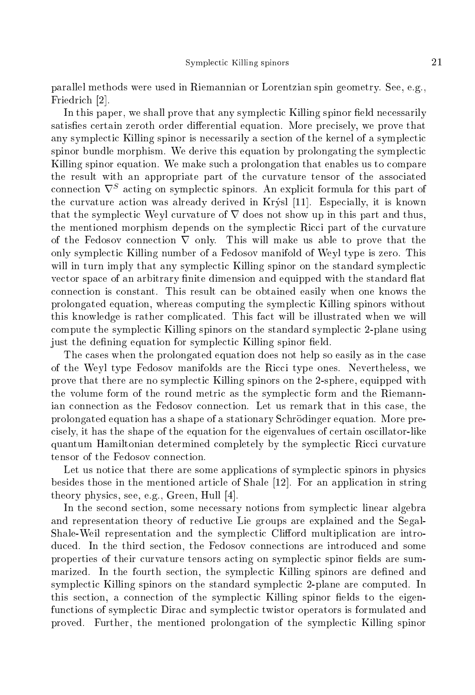parallel methods were used in Riemannian or Lorentzian spin geometry. See, e.g., Friedrich [2].

In this paper, we shall prove that any symplectic Killing spinor field necessarily satisfies certain zeroth order differential equation. More precisely, we prove that any symplectic Killing spinor is necessarily a section of the kernel of a symplectic spinor bundle morphism. We derive this equation by prolongating the symplectic Killing spinor equation. We make su
h a prolongation that enables us to ompare the result with an appropriate part of the urvature tensor of the asso
iated  $\frac{1}{2}$  connection  $\sqrt{\frac{1}{2}}$  acting on symplectic spinors. An explicit formula for this part of the curvature action was already derived in Krýsl [11]. Especially, it is known that the symplectic Weyl curvature of  $\nabla$  does not show up in this part and thus, the mentioned morphism depends on the symplectic Ricci part of the curvature of the Fedosov connection  $\nabla$  only. This will make us able to prove that the only symple
ti Killing number of a Fedosov manifold of Weyl type is zero. This will in turn imply that any symplectic Killing spinor on the standard symplectic vector space of an arbitrary finite dimension and equipped with the standard flat onne
tion is onstant. This result an be obtained easily when one knows the prolongated equation, whereas omputing the symple
ti Killing spinors without this knowledge is rather ompli
ated. This fa
t will be illustrated when we will compute the symplectic Killing spinors on the standard symplectic 2-plane using just the defining equation for symplectic Killing spinor field.

The cases when the prolongated equation does not help so easily as in the case of the Weyl type Fedosov manifolds are the Ricci type ones. Nevertheless, we prove that there are no symplectic Killing spinors on the 2-sphere, equipped with the volume form of the round metric as the symplectic form and the Riemannian onne
tion as the Fedosov onne
tion. Let us remark that in this ase, the prolongated equation has <sup>a</sup> shape of <sup>a</sup> stationary S
hrodinger equation. More pre isely, it has the shape of the equation for the eigenvalues of ertain os
illator-like quantum Hamiltonian determined completely by the symplectic Ricci curvature tensor of the Fedosov onne
tion.

Let us notice that there are some applications of symplectic spinors in physics besides those in the mentioned article of Shale  $[12]$ . For an application in string theory physics, see, e.g., Green, Hull [4].

In the second section, some necessary notions from symplectic linear algebra and representation theory of redu
tive Lie groups are explained and the Segal-Shale-Weil representation and the symplectic Clifford multiplication are introduced. In the third section, the Fedosov connections are introduced and some properties of their curvature tensors acting on symplectic spinor fields are summarized. In the fourth section, the symplectic Killing spinors are defined and symplectic Killing spinors on the standard symplectic 2-plane are computed. In this section, a connection of the symplectic Killing spinor fields to the eigenfunctions of symplectic Dirac and symplectic twistor operators is formulated and proved. Further, the mentioned prolongation of the symple
ti Killing spinor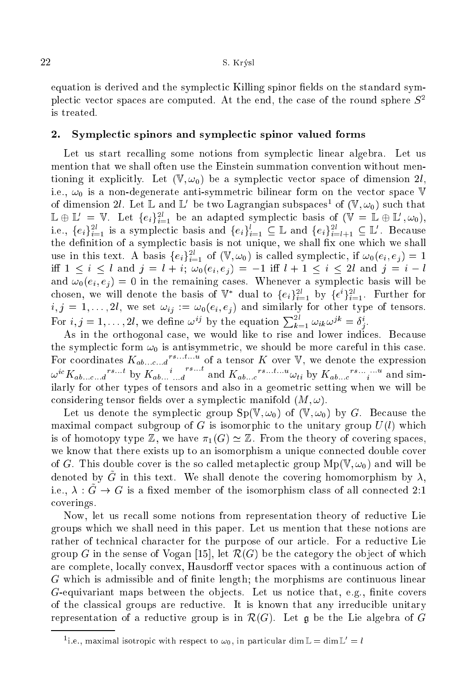equation is derived and the symplectic Killing spinor fields on the standard symplectic vector spaces are computed. At the end, the case of the round sphere  $S^2$ is treated.

### 2.Symple
ti spinors and symple
ti spinor valued forms

Let us start recalling some notions from symplectic linear algebra. Let us mention that we shall often use the Einstein summation convention without mentioning it explicitly. Let  $(\mathbb{V}, \omega_0)$  be a symplectic vector space of dimension 2l, i.e.,  $\omega_0$  is a non-degenerate anti-symmetric bilinear form on the vector space V of dimension  $u$ . Let  $\mathbb L$  and  $\mathbb L$  be two Lagrangian subspaces of  $(\mathbb V,\omega_0)$  such that  $\Box \oplus \Box$  = v. Let  $\{e_i\}_{i=1}^\tau$  be an adapted symplectic basis of  $(\vee \equiv \Box \oplus \Box, \omega_0)_t$ i.e.,  $\{e_i\}_{i=1}^{\infty}$  is a symplectic basis and  $\{e_i\}_{i=1}^{\infty} \subseteq \mathbb{L}$  and  $\{e_i\}_{i=l+1}^{\infty} \subseteq \mathbb{L}$ . Decause the definition of a symplectic basis is not unique, we shall fix one which we shall use in this text. A basis  $\{e_i\}_{i=1}^{\infty}$  of  $(v, \omega_0)$  is called symplectic, if  $\omega_0(e_i, e_j) = 1$ iff  $1 \le i \le l$  and  $j = l + i$ ;  $\omega_0(e_i, e_j) = -1$  iff  $l + 1 \le i \le 2l$  and  $j = i - l$ and  $\omega_0(e_i, e_j) = 0$  in the remaining cases. Whenever a symplectic basis will be chosen, we will denote the basis of  $\mathbb{V}$  dual to  $\{e_i\}_{i=1}^{\infty}$  by  $\{\epsilon^*\}_{i=1}^{\infty}$ . Further for For  $i, j = 1, \ldots, 2l$ , we define  $\omega^{ij}$  by the equation  $\sum_{k=1}^{2l} \omega_{ik} \omega^{jk} = \delta^i_j$ .

As in the orthogonal case, we would like to rise and lower indices. Because the symplectic form  $\omega_0$  is antisymmetric, we should be more careful in this case. For coordinates  $K_{ab...c...d}$  or a tensor K over  $\vee$ , we denote the expression  $\omega^{i} K_{ab...c...d}$  by  $K_{ab...d}$ and  $K_{ab...c}$ <sup>rs...t</sup>u $\omega_{ti}$  by  $K_{ab...c}$ <sup>rs...</sup>...<sup>u</sup> and similarly for other types of tensors and also in a geometric setting when we will be considering tensor fields over a symplectic manifold  $(M, \omega)$ .

Let us denote the symplectic group  $Sp(V, \omega_0)$  of  $(V, \omega_0)$  by G. Because the maximal compact subgroup of G is isomorphic to the unitary group  $U(l)$  which is of homotopy type  $\mathbb{Z}$ , we have  $\pi_1(G) \simeq \mathbb{Z}$ . From the theory of covering spaces, we know that there exists up to an isomorphism a unique connected double cover of G. This double cover is the so called metaplectic group  $Mp(\mathbb{V}, \omega_0)$  and will be denoted by G in this text. We shall denote the covering homomorphism by  $\lambda$ , i.e.,  $\lambda : \tilde{G} \to G$  is a fixed member of the isomorphism class of all connected 2:1 overings.

Now, let us recall some notions from representation theory of reductive Lie groups whi
h we shall need in this paper. Let us mention that these notions are rather of technical character for the purpose of our article. For a reductive Lie group G in the sense of Vogan [15], let  $\mathcal{R}(G)$  be the category the object of which are complete, locally convex, Hausdorff vector spaces with a continuous action of G whi
h is admissible and of nite length; the morphisms are ontinuous linear  $G$ -equivariant maps between the objects. Let us notice that, e.g., finite covers of the classical groups are reductive. It is known that any irreducible unitary representation of a reductive group is in  $\mathcal{R}(G)$ . Let q be the Lie algebra of G

The., maximal isotropic with respect to  $\omega_0$ , in particular diminities  $\alpha$  and  $\mu$  =  $\iota$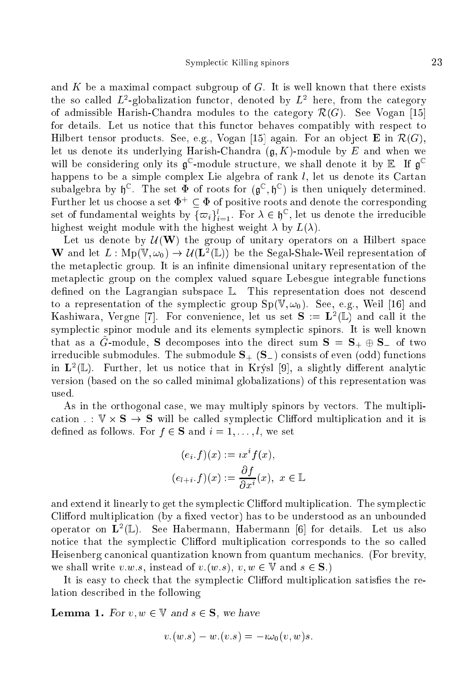and K be a maximal compact subgroup of  $G$ . It is well known that there exists the so called  $L$  -globalization functor, denoted by  $L$  and the function the category of admissible Harish-Chandra modules to the category  $\mathcal{R}(G)$ . See Vogan [15] for details. Let us notice that this functor behaves compatibly with respect to Hilbert tensor products. See, e.g., Vogan [15] again. For an object **E** in  $\mathcal{R}(G)$ , let us denote its underlying Harish-Chandra  $(g, K)$ -module by E and when we will be considering only its **a** -module structure, we shall denote it by **E**. If **a** happens to be a simple complex Lie algebra of rank  $l$ , let us denote its Cartan subalgebra by  $\mathfrak{g}^*$ . The set  $\Psi$  of roots for  $(\mathfrak{g}^*,\mathfrak{g}^*)$  is then uniquely determined. Further let us choose a set  $\Phi^+ \subset \Phi$  of positive roots and denote the corresponding set of fundamental weights by  $\{\varpi_i\}_{i=1}$ . For  $\lambda \in \mathfrak{y}$  , let us denote the irreductive highest weight module with the highest weight  $\lambda$  by  $L(\lambda)$ .

Let us denote by  $\mathcal{U}(\mathbf{W})$  the group of unitary operators on a Hilbert space **W** and let  $L: \text{Mp}(\mathbb{V}, \omega_0) \to \mathcal{U}(L^-(\mathbb{L}))$  be the Segal-Shale-Weil representation of the metaplectic group. It is an infinite dimensional unitary representation of the metaplectic group on the complex valued square Lebesgue integrable functions defined on the Lagrangian subspace  $\mathbb{L}$ . This representation does not descend to a representation of the symplectic group  $Sp(\mathbb{V}, \omega_0)$ . See, e.g., Weil [16] and  $R$ ashiwara, vergne  $(t)$ . For convenience, let us set  $S := L$  (L) and call it the symplectic spinor module and its elements symplectic spinors. It is well known that as a  $\hat{G}$ -module, S decomposes into the direct sum  $S = S_+ \oplus S_-$  of two irreducible submodules. The submodule  $S_{+}$  ( $S_{-}$ ) consists of even (odd) functions in <sup>L</sup><sup>2</sup> (L). Further, let us noti
e that in Krysl [9℄, a slightly dierent analyti version (based on the so alled minimal globalizations) of this representation was used.

As in the orthogonal case, we may multiply spinors by vectors. The multipliation : since the symplectic multiplication in the symplectic multiplication in the symplectic multiplication in defined as follows. For  $f \in S$  and  $i = 1, \ldots, l$ , we set

$$
(e_i.f)(x) := ix^if(x),
$$
  

$$
(e_{l+i}.f)(x) := \frac{\partial f}{\partial x^i}(x), \ x \in \mathbb{L}
$$

and extend it linearly to get the symplectic Clifford multiplication. The symplectic Clifford multiplication (by a fixed vector) has to be understood as an unbounded  $\alpha$ perator on  $L^-(\mathbb{L})$ . See Habermann, Habermann  $|0|$  for details. Let us also notice that the symplectic Clifford multiplication corresponds to the so called Heisenberg anoni
al quantization known from quantum me
hani
s. (For brevity, we shall write v.w.s, instead of v.(w.s),  $v, w \in V$  and  $s \in S$ .)

It is easy to check that the symplectic Clifford multiplication satisfies the relation des
ribed in the following

Lemma 1. For v; w <sup>2</sup> <sup>V</sup> and <sup>s</sup> <sup>2</sup> S, we have

$$
v.(w.s) - w.(v.s) = -i\omega_0(v,w)s.
$$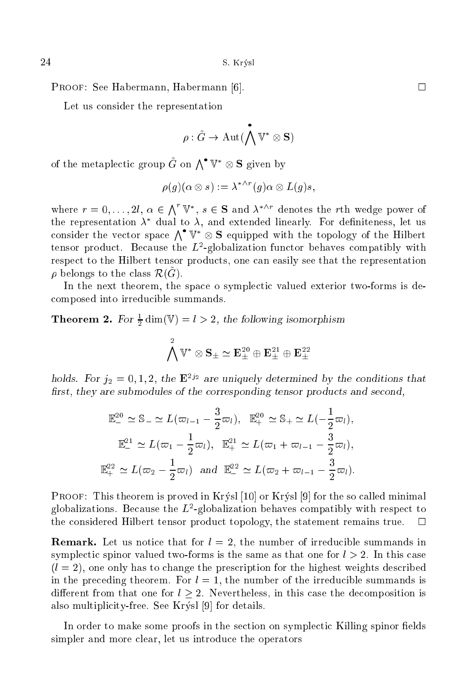PROOF: See Habermann, Habermann [6].  $\square$ 

Let us consider the representation

$$
\rho: \tilde{G} \to \mathrm{Aut}(\bigwedge^\bullet \mathbb{V}^* \otimes \mathbf{S})
$$

of the metaplectic group G on  $\Lambda^{\bullet} \mathbb{V}^* \otimes \mathbf{S}$  given by

$$
\rho(g)(\alpha\otimes s):=\lambda^{*\wedge r}(g)\alpha\otimes L(g)s,
$$

where  $r = 0, \ldots, 2l, \alpha \in \Lambda^r \mathbb{V}^*, s \in \mathbf{S}$  and  $\lambda^{*\wedge r}$  denotes the rth wedge power of the representation  $\lambda$  -qual to  $\lambda$ , and extended linearly. For definiteness, let us consider the vector space  $\Lambda^{\bullet} \mathbb{V}^* \otimes \mathbf{S}$  equipped with the topology of the Hilbert tensor product. Decause the  $L$ -globalization functor behaves compatibly with respect to the Hilbert tensor products, one can easily see that the representation  $\nu$  belongs to the class  $\mathcal{R}(\mathbf{G}).$ 

In the next theorem, the space o symplectic valued exterior two-forms is deomposed into irredu
ible summands.

**Theorem 2.** For  $\frac{1}{2}$  dim( $\sqrt{v}$ ) = l > 2, the following isomorphism

$$
\bigwedge^2 {\mathbb V}^* \otimes {\mathbf S}_\pm \simeq {\mathbf E}^{20}_\pm \oplus {\mathbf E}^{21}_\pm \oplus {\mathbf E}^{22}_\pm
$$

holds. For  $j_2 = 0, 1, 2,$  the E<sup>22</sup> are uniquely determined by the conditions that first, they are submodules of the corresponding tensor products and second,

$$
\mathbb{E}_{-}^{20} \simeq \mathbb{S}_{-} \simeq L(\varpi_{l-1} - \frac{3}{2}\varpi_{l}), \quad \mathbb{E}_{+}^{20} \simeq \mathbb{S}_{+} \simeq L(-\frac{1}{2}\varpi_{l}),
$$
  

$$
\mathbb{E}_{+}^{21} \simeq L(\varpi_{1} - \frac{1}{2}\varpi_{l}), \quad \mathbb{E}_{+}^{21} \simeq L(\varpi_{1} + \varpi_{l-1} - \frac{3}{2}\varpi_{l}),
$$
  

$$
\mathbb{E}_{+}^{22} \simeq L(\varpi_{2} - \frac{1}{2}\varpi_{l}) \quad \text{and} \quad \mathbb{E}_{-}^{22} \simeq L(\varpi_{2} + \varpi_{l-1} - \frac{3}{2}\varpi_{l}).
$$

**PROOF:** This theorem is proved in Krysl  $[10]$  or Krysl  $[9]$  for the so called minimal globalizations. Because the  $L^2$ -globalization behaves compatibly with respect to the onsidered Hilbert tensor produ
t topology, the statement remains true.  $\Box$ 

Remark. Let us noti
e that for <sup>l</sup> = 2, the number of irredu
ible summands in symplectic spinor valued two-forms is the same as that one for  $l > 2$ . In this case  $(l = 2)$ , one only has to change the prescription for the highest weights described in the preceding theorem. For  $l = 1$ , the number of the irreducible summands is different from that one for  $l \geq 2$ . Nevertheless, in this case the decomposition is also multiplicity-free. See Krýsl  $[9]$  for details.

In order to make some proofs in the section on symplectic Killing spinor fields simpler and more clear, let us introduce the operators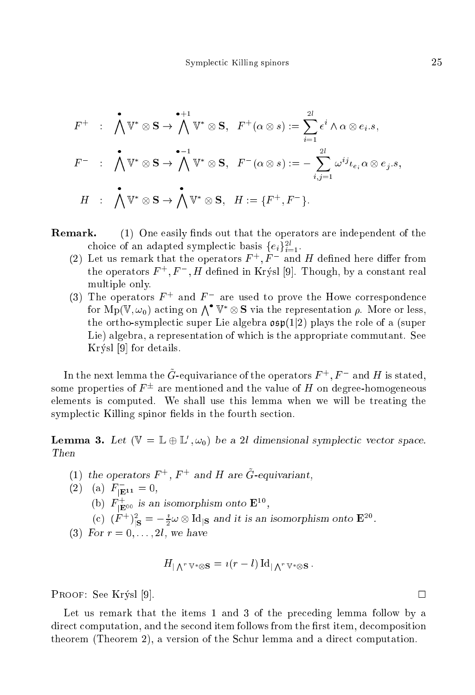$$
F^{+} : \bigwedge^{\bullet} \mathbb{V}^{*} \otimes \mathbf{S} \to \bigwedge^{\bullet+1} \mathbb{V}^{*} \otimes \mathbf{S}, \quad F^{+}(\alpha \otimes s) := \sum_{i=1}^{2l} \epsilon^{i} \wedge \alpha \otimes e_{i}.s,
$$
  

$$
F^{-} : \bigwedge^{\bullet} \mathbb{V}^{*} \otimes \mathbf{S} \to \bigwedge^{\bullet-1} \mathbb{V}^{*} \otimes \mathbf{S}, \quad F^{-}(\alpha \otimes s) := - \sum_{i,j=1}^{2l} \omega^{ij} \iota_{e_{i}} \alpha \otimes e_{j}.s,
$$
  

$$
H : \bigwedge^{\bullet} \mathbb{V}^{*} \otimes \mathbf{S} \to \bigwedge^{\bullet} \mathbb{V}^{*} \otimes \mathbf{S}, \quad H := \{F^{+}, F^{-}\}.
$$

- Remark.  $(1)$  One easily finds out that the operators are independent of the choice of an adapted symplectic basis  $\{e_i\}_{i=1}$ .
	- (2) Let us remark that the operators  $F_+, F_-$  and  $H$  defined here differ from the operators  $F^+, F^-, H$  defined in Krysl [9]. Though, by a constant real multiple only.
	- (3) The operators  $F^+$  and  $F^-$  are used to prove the Howe correspondence for Mp(V,  $\omega_0$ ) acting on  $\bigwedge^\bullet \mathbb{V}^* \otimes \mathbf{S}$  via the representation  $\rho$ . More or less, the ortho-symplectic super Lie algebra  $\mathfrak{osp}(1|2)$  plays the role of a (super Lie) algebra, a representation of which is the appropriate commutant. See Krýsl  $[9]$  for details.

In the next lemma the  $G$ -equivariance of the operators  $F \to F$  and  $H$  is stated. some properties of  $F =$  are mentioned and the value of  $H$  on degree-homogeneous elements is omputed. We shall use this lemma when we will be treating the symplectic Killing spinor fields in the fourth section.

**Lemma 5.** Let  $(\forall = \mathbb{L} \oplus \mathbb{L}, \omega_0)$  be a 2*l* dimensional symplectic vector space. Then

- (1) the operators  $F \rightarrow F$  and  $H$  are G-equivariant.
- $(2)$  (a)  $F_{\text{E11}} = 0$ ,
	- (b)  $F_{\vert \mathbf{E}^{00}}$  is an isomorphism onto  $\mathbf{E}^{\text{eq}}$ ,
	- (c)  $(F^{-})$   $\vert_S = -\frac{1}{2}\omega \otimes \text{Id} \vert_S$  and it is an isomorphism onto  $E^{-\sigma}$ .
- (3) For  $r = 0, \ldots, 2l$ , we have

$$
H_{\mathsf{I}\, \bigwedge^r\, \mathbb{V}^*\otimes \mathbf{S}}\,=\, \imath (r-l)\, \mathrm{Id}_{\mathsf{I}\, \bigwedge^r\, \mathbb{V}^*\otimes \mathbf{S}}\, .
$$

PROOF: See Krýsl [9].

Let us remark that the items 1 and 3 of the preceding lemma follow by a direct computation, and the second item follows from the first item, decomposition theorem (Theorem 2), a version of the Schur lemma and a direct computation.

 $\Box$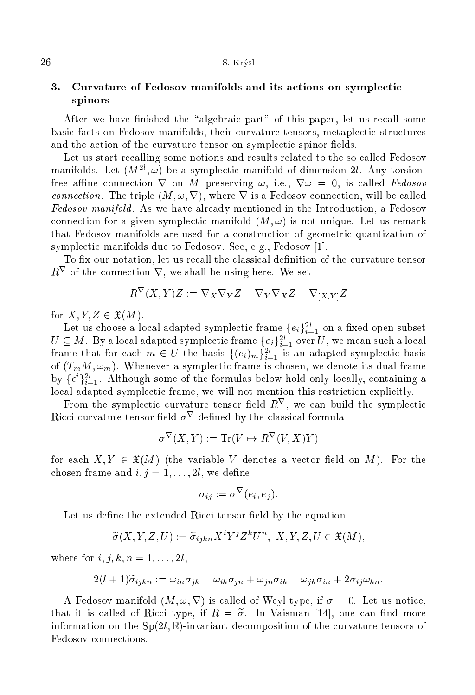## 3.tions and the Fedosov manifolds and its and its and its and its and its and its and its and its and its and its spinors

After we have finished the "algebraic part" of this paper, let us recall some basic facts on Fedosov manifolds, their curvature tensors, metaplectic structures and the action of the curvature tensor on symplectic spinor fields.

Let us start recalling some notions and results related to the so called Fedosov  $m$ annoids. Let  $\{M^-, \omega\}$  be a symplectic manifold of dimension  $2i$ . Any torsionfree affine connection  $\nabla$  on M preserving  $\omega$ , i.e.,  $\nabla \omega = 0$ , is called Fedosov *connection*. The triple  $(M, \omega, \nabla)$ , where  $\nabla$  is a Fedosov connection, will be called Fedosov manifold . As we have already mentioned in the Introdu
tion, <sup>a</sup> Fedosov connection for a given symplectic manifold  $(M, \omega)$  is not unique. Let us remark that Fedosov manifolds are used for a construction of geometric quantization of symplectic manifolds due to Fedosov. See, e.g., Fedosov [1].

To fix our notation, let us recall the classical definition of the curvature tensor  $R<sub>r</sub>$  of the connection  $V$ , we shall be using here. We set

$$
R^{\nabla}(X,Y)Z := \nabla_X \nabla_Y Z - \nabla_Y \nabla_X Z - \nabla_{[X,Y]} Z
$$

for  $X, Y, Z \in \mathfrak{X}(M)$ .

Let us choose a local adapted symplectic frame  $\{e_i\}_{i=1}^\infty$  on a fixed open subset  $U \subseteq M$  . By a local adapted symplectic frame  $\{e_i\}_{i=1}^\infty$  over U, we mean such a local frame that for each  $m \in U$  the basis  $\{(e_i)_m\}_{i=1}^\infty$  is an adapted symplectic basis of  $(T_mM,\omega_m)$ . Whenever a symplectic frame is chosen, we denote its dual frame by  $\{\epsilon^r\}_{i=1}^{\infty}$ . Although some of the formulas below hold only locally, containing a local adapted symplectic frame, we will not mention this restriction explicitly.

From the symplectic curvature tensor held  $R^+$ , we can build the symplectic  $R$ icci curvature tensor neig  $\sigma^+$  denned by the classical formula

$$
\sigma^{\nabla}(X, Y) := \text{Tr}(V \mapsto R^{\nabla}(V, X)Y)
$$

for each  $X, Y \in \mathfrak{X}(M)$  (the variable V denotes a vector field on M). For the chosen frame and  $i, j = 1, \ldots, 2l$ , we define

$$
\sigma_{ij} := \sigma^{\nabla}(e_i, e_j).
$$

Let us define the extended Ricci tensor field by the equation

$$
\widetilde{\sigma}(X, Y, Z, U) := \widetilde{\sigma}_{ijkn} X^i Y^j Z^k U^n, \ X, Y, Z, U \in \mathfrak{X}(M),
$$

where for  $i, j, k, n = 1, \ldots, 2l$ ,

$$
2(l+1)\widetilde{\sigma}_{ijkn} := \omega_{in}\sigma_{jk} - \omega_{ik}\sigma_{jn} + \omega_{jn}\sigma_{ik} - \omega_{jk}\sigma_{in} + 2\sigma_{ij}\omega_{kn}.
$$

A Fedosov manifold  $(M, \omega, \nabla)$  is called of Weyl type, if  $\sigma = 0$ . Let us notice, that it is called of Ricci type, if  $R = \tilde{\sigma}$ . In Vaisman [14], one can find more information on the  $Sp(2l,\mathbb{R})$ -invariant decomposition of the curvature tensors of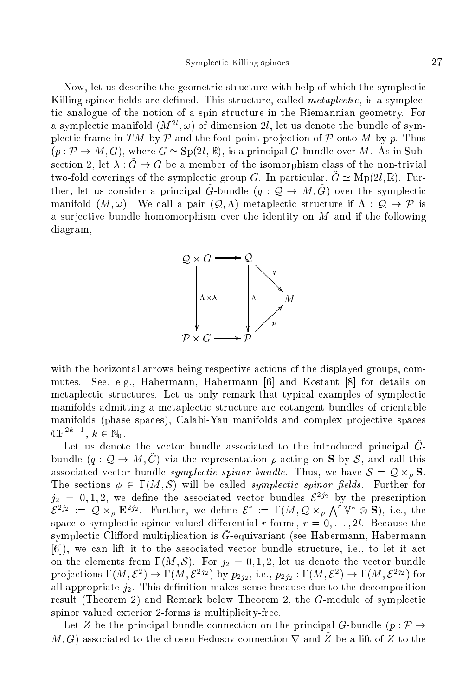Now, let us describe the geometric structure with help of which the symplectic Killing spinor fields are defined. This structure, called *metaplectic*, is a symplecti analogue of the notion of a spin stru
ture in the Riemannian geometry. For a symplectic manifold  $(M_-, \omega)$  of dimension  $z_l$ , let us denote the bundle of symplectic frame in TM by  $P$  and the foot-point projection of P onto M by p. Thus  $(p : \mathcal{P} \to M, G)$ , where  $G \simeq Sp(2l, \mathbb{R})$ , is a principal G-bundle over M. As in Subsection 2, let  $\lambda : \tilde{G} \to G$  be a member of the isomorphism class of the non-trivial two-fold coverings of the symplectic group G. In particular,  $\tilde{G} \simeq \text{Mp}(2l, \mathbb{R})$ . Further, let us consider a principal  $\tilde{G}$ -bundle  $(q: \mathcal{Q} \to M, \tilde{G})$  over the symplectic manifold  $(M, \omega)$ . We call a pair  $(Q, \Lambda)$  metaplectic structure if  $\Lambda : Q \to \mathcal{P}$  is a surje
tive bundle homomorphism over the identity on <sup>M</sup> and if the following diagram,



with the horizontal arrows being respective actions of the displayed groups, com-See, e.g., Habermann, Habermann [6] and Kostant [8] for details on mutes. metaplectic structures. Let us only remark that typical examples of symplectic manifolds admitting a metaplectic structure are cotangent bundles of orientable manifolds (phase spaces), Calabi-Yau manifolds and complex projective spaces  $\mathbb{CP}$ ,  $\kappa \in \mathbb{N}_0$ .

Let us denote the vector bundle associated to the introduced principal  $\tilde{G}$ bundle  $(q: \mathcal{Q} \to M, \tilde{G})$  via the representation  $\rho$  acting on **S** by S, and call this associated vertice in the symplectic symplectic continuity in the second  $\sim$   $\sim$   $\sim$ The sections  $\phi \in \Gamma(M, \mathcal{S})$  will be called *symplectic spinor fields*. Further for  $j_2 = 0, 1, 2$ , we define the associated vector bundles  $\mathcal{E}^{2j_2}$  by the prescription  $\mathcal{E}^{2j_2} := \mathcal{Q} \times_{\rho} \mathbf{E}^{2j_2}$ . Further, we define  $\mathcal{E}^r := \Gamma(M, \mathcal{Q} \times_{\rho} \bigwedge^r \mathbb{V}^* \otimes \mathbf{S})$ , i.e., the r spa
e o symple
ti spinor valued dierential r-forms, <sup>r</sup> = 0; : : : ; 2l. Be
ause the symplectic Omiora multiplication is G-equivariant (see Habermann, Habermann [6]), we can lift it to the associated vector bundle structure, i.e., to let it act on the elements from  $\Gamma(M, \mathcal{S})$ . For  $j_2 = 0, 1, 2$ , let us denote the vector bundle projections 1 (*M*, *C*)  $\rightarrow$  1 (*M*, *C*<sup>22</sup>) by  $p_{2j_2}$ , i.e.,  $p_{2j_2}$ : 1 (*M*, *C*)  $\rightarrow$  1 (*M*, *C*<sup>22</sup>) for all appropriate  $j_2$ . This definition makes sense because due to the decomposition  $\frac{1}{2}$  result (Theorem 2) and Remark below Theorem 2, the G-module of symplectic spinor valued exterior 2-forms is multiplicity-free.

Let Z be the principal bundle connection on the principal G-bundle  $(p : \mathcal{P} \rightarrow$ M, G) associated to the chosen Fedosov connection  $\nabla$  and  $\tilde{Z}$  be a lift of Z to the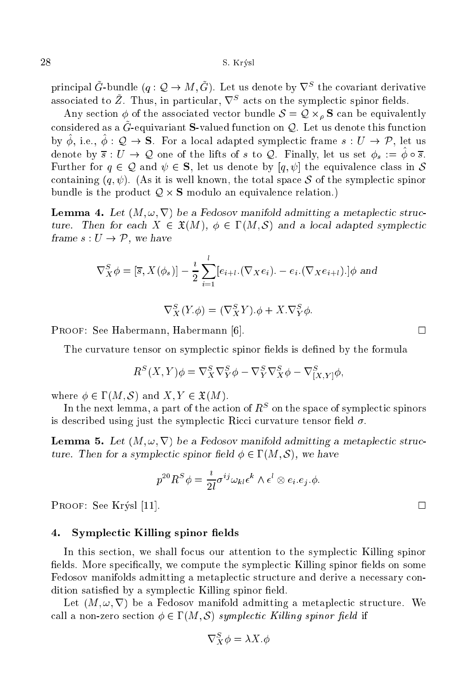principal G-bundle  $(q : Q \rightarrow M, G)$ . Let us denote by  $V^{-}$  the covariant derivative associated to  $Z$ . Thus, in particular,  $V^-$  acts on the symplectic spinor neigs.

Any se
tion of the asso
iated ve
tor bundle <sup>S</sup> = <sup>Q</sup> - <sup>S</sup> an be equivalently considered as a  $\tilde{G}$ -equivariant **S**-valued function on Q. Let us denote this function by  $\psi$ , i.e.,  $\psi$   $\chi \to S$ . For a local adapted symplectic mallet  $s$ .  $U \to F$ , let us denote by  $s : U \to \mathcal{Q}$  one of the lifts of s to  $\mathcal{Q}$ . Finally, let us set  $\varphi_s := \varphi \circ s$ . Further for  $q \in \mathcal{Q}$  and  $\psi \in S$ , let us denote by  $[q, \psi]$  the equivalence class in S containing  $(q, \psi)$ . (As it is well known, the total space S of the symplectic spinor bundle is the produ
t <sup>Q</sup> - <sup>S</sup> modulo an equivalen
e relation.)

Lemma 4. Let (M ; !; r) be a Fedosov manifold admitting a metaple
ti stru
 ture. Then for each  $X \in \mathfrak{X}(M)$ ,  $\phi \in \Gamma(M, \mathcal{S})$  and a local adapted symplectic frame  $s: U \to \mathcal{P}$ , we have

$$
\nabla_X^S \phi = [\overline{s}, X(\phi_s)] - \frac{i}{2} \sum_{i=1}^l [e_{i+l} \cdot (\nabla_X e_i) \cdot - e_i \cdot (\nabla_X e_{i+l}) \cdot ] \phi \text{ and}
$$

$$
\nabla_X^S(Y \phi) = (\nabla_X^S Y) \phi + X \nabla_Y^S \phi.
$$

PROOF: See Habermann, Habermann [6].  $\square$ 

The curvature tensor on symplectic spinor fields is defined by the formula

$$
R^{S}(X,Y)\phi = \nabla^{S}_{X}\nabla^{S}_{Y}\phi - \nabla^{S}_{Y}\nabla^{S}_{X}\phi - \nabla^{S}_{[X,Y]}\phi,
$$

where  $\phi \in \Gamma(M, \mathcal{S})$  and  $X, Y \in \mathfrak{X}(M)$ .

In the next femma, a part of the action of  $R^-$  on the space of symplectic spinors is described using just the symplectic Ricci curvature tensor field  $\sigma$ .

Lemma 5. Let (M ; !; r) be <sup>a</sup> Fedosov manifold admitting <sup>a</sup> metaple
ti stru
 ture. Then for a symplectic spinor field  $\phi \in \Gamma(M, \mathcal{S})$ , we have

$$
p^{20} R^S \phi = \frac{i}{2l} \sigma^{ij} \omega_{kl} \epsilon^k \wedge \epsilon^l \otimes e_i.e_j.\phi.
$$

PROOF: See Krýsl [11].  $\Box$ 

### 4.Symple
ti Killing spinor elds

In this section, we shall focus our attention to the symplectic Killing spinor fields. More specifically, we compute the symplectic Killing spinor fields on some Fedosov manifolds admitting a metaplectic structure and derive a necessary condition satisfied by a symplectic Killing spinor field.

Let  $(M, \omega, \nabla)$  be a Fedosov manifold admitting a metaplectic structure. We call a non-zero section  $\phi \in \Gamma(M, \mathcal{S})$  symplectic Killing spinor field if

$$
\nabla^S_X \phi = \lambda X . \phi
$$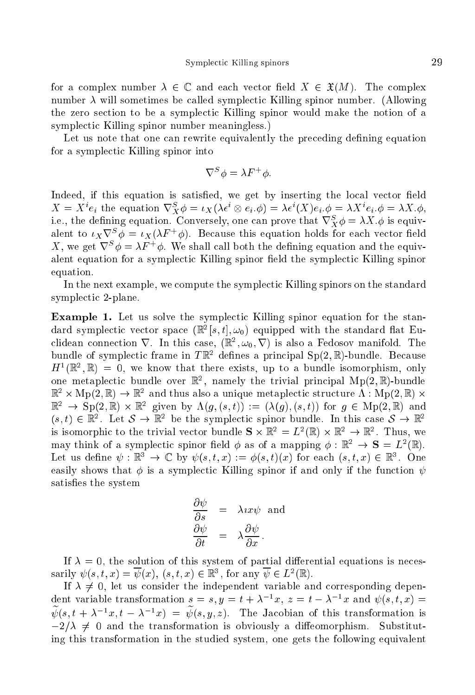for a complex number  $\lambda \in \mathbb{C}$  and each vector field  $X \in \mathfrak{X}(M)$ . The complex number  $\lambda$  will sometimes be called symplectic Killing spinor number. (Allowing the zero se
tion to be a symple
ti Killing spinor would make the notion of a symple
ti Killing spinor number meaningless.)

Let us note that one can rewrite equivalently the preceding defining equation for a symplectic Killing spinor into

$$
\nabla^S \phi = \lambda F^+ \phi.
$$

Indeed, if this equation is satisfied, we get by inserting the local vector field  $\Lambda = \Lambda^* e_i$  the equation  $V_X^* \varphi = i_X (\lambda \epsilon^* \otimes e_i \varphi) = \lambda \epsilon^* (\Lambda) e_i \varphi = \lambda \Lambda^* e_i \varphi = \lambda \Lambda^* \varphi$ , i.e., the defining equation. Conversely, one can prove that  $\sqrt{\chi \varphi} = \lambda \Lambda \varphi$  is equivarent to  $\iota_X \vee \nu = \iota_X(\lambda r + \varphi)$ . Because this equation holds for each vector field  $\Lambda$ , we get  $V$   $\varphi = \Lambda r$   $\varphi$ . We shall call both the defining equation and the equivalent equation for a symplectic Killing spinor field the symplectic Killing spinor equation.

In the next example, we compute the symplectic Killing spinors on the standard symplectic 2-plane.

Example 1. Let us solve the symple
ti Killing spinor equation for the stan- $\alpha$ ard symplectic vector space  $(\mathbb{R}^+ | s, t |, \omega_0)$  equipped with the standard hat Euchoean connection  $V$ . In this case,  $(\mathbb{R}^-, \omega_0, V)$  is also a Fedosov manifold. The bundle of symplectic frame in  $I \mathbb{R}^2$  defines a principal  $\mathcal{S}p(Z, \mathbb{R})$ -bundle. Because  $H^{\pm}(\mathbb{R}^n,\mathbb{R}) = 0$ , we know that there exists, up to a bundle isomorphism, only one metaplectic bundle over  $\mathbb{R}^n$ , namely the trivial principal Mp(2, $\mathbb{R}$ )-bundle  $\mathbb{R}^+ \times \text{Mp}(2, \mathbb{R}) \to \mathbb{R}^+$  and thus also a unique metaplectic structure  $\Lambda$ :  $\text{Mp}(2, \mathbb{R}) \times$  $\mathbb{R}^-\rightarrow \mathfrak{O}(2,\mathbb{R})\times\mathbb{R}^-\;$  given by  $\Lambda(g,(s,t)) := (\Lambda(g),(s,t))$  for  $g\in \mathrm{Mip}(2,\mathbb{R})$  and (s,  $t$ )  $\in$   $\mathbb{R}^+$ . Let  $\mathcal{S} \to \mathbb{R}^-$  be the symplectic spinor bundle. In this case  $\mathcal{S} \to \mathbb{R}^$ is isomorphic to the trivial vector bundle  $S \times \mathbb{R}^+ \cong L^-(\mathbb{R}) \times \mathbb{R}^- \to \mathbb{R}^+$ . Thus, we may think of a symplectic spinor field  $\varphi$  as of a mapping  $\varphi : \mathbb{R}^+ \to \mathbf{S} = L^-(\mathbb{R}).$ Let us define  $\psi : \mathbb{R}^+ \to \mathbb{C}$  by  $\psi(s,t,x) := \varphi(s,t)(x)$  for each  $(s,t,x) \in \mathbb{R}^+$ . One easily shows that  $\phi$  is a symplectic Killing spinor if and only if the function  $\psi$ satisfies the system

$$
\frac{\partial \psi}{\partial s} = \lambda x x \psi \text{ and}
$$

$$
\frac{\partial \psi}{\partial t} = \lambda \frac{\partial \psi}{\partial x}.
$$

If  $\lambda = 0$ , the solution of this system of partial differential equations is necessarily  $\psi(s, t, x) = \psi(x)$ ,  $(s, t, x) \in \mathbb{R}^3$ , for any  $\psi \in L^2(\mathbb{R})$ .

If  $\lambda \neq 0$ , let us consider the independent variable and corresponding dependent variable transformation  $s = s, y = t + \lambda^{-1}x, z = t - \lambda^{-1}x$  and  $\psi(s, t, x) =$  $\psi(s, t + \lambda \quad x, t - \lambda \quad x) = \psi(s, y, z).$  The Jacobian of this transformation is  $-2/\lambda \neq 0$  and the transformation is obviously a diffeomorphism. Substituting this transformation in the studied system, one gets the following equivalent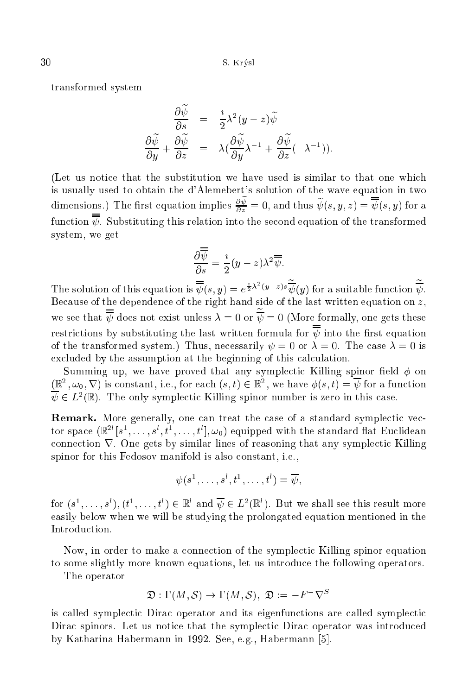transformed system

$$
\frac{\partial \widetilde{\psi}}{\partial s} = \frac{i}{2} \lambda^2 (y - z) \widetilde{\psi}
$$

$$
\frac{\partial \widetilde{\psi}}{\partial y} + \frac{\partial \widetilde{\psi}}{\partial z} = \lambda (\frac{\partial \widetilde{\psi}}{\partial y} \lambda^{-1} + \frac{\partial \widetilde{\psi}}{\partial z} (-\lambda^{-1})).
$$

(Let us noti
e that the substitution we have used is similar to that one whi
h is usually used to obtain the <sup>d</sup>'Alemebert's solution of the wave equation in two dimensions.) The first equation implies  $\frac{\partial \psi}{\partial z} = 0$ , and thus  $\psi(s, y, z) = \psi(s, y)$  for a function  $\overline{\overline{\psi}}$ . Substituting this relation into the second equation of the transformed system, we get

$$
\frac{\partial \overline{\overline{\psi}}}{\partial s} = \frac{i}{2}(y - z)\lambda^2 \overline{\overline{\psi}}.
$$

The solution of this equation is  $\psi(s, y) = e^{\frac{1}{2}\lambda - (y-z)s} \psi(y)$  for a suitable function  $\psi$ . Because of the dependence of the right hand side of the last written equation on z, we see that  $\psi$  does not exist unless  $\lambda = 0$  or  $\psi = 0$  (More formally, one gets these restrictions by substituting the last written formula for  $\overline{\overline{\psi}}$  into the first equation of the transformed system.) Thus, necessarily  $\psi = 0$  or  $\lambda = 0$ . The case  $\lambda = 0$  is excluded by the assumption at the beginning of this calculation.

Summing up, we have proved that any symplectic Killing spinor field  $\phi$  on  $(\mathbb{R}^2, \omega_0, \nabla)$  is constant, i.e., for each  $(s, t) \in \mathbb{R}^2$ , we have  $\varphi(s, t) = \psi$  for a function  $\psi \in L^2(\mathbb{R})$ . The only symplectic Killing spinor number is zero in this case.

Remark. More generally, one an treat the ase of a standard symple
ti ve
 tor space  $(\mathbb{R}^+ \mid s^-, \ldots, s^-, t^-, \ldots, t^+ \mid, \omega_0)$  equipped with the standard hat Euchdean connection  $\nabla$ . One gets by similar lines of reasoning that any symplectic Killing spinor for this Fedosov manifold is also onstant, i.e.,

$$
\psi(s^1,\ldots,s^l,t^1,\ldots,t^l)=\overline{\psi},
$$

for  $(s^*, \ldots, s^*)$ ,  $(t^*, \ldots, t^*) \in \mathbb{R}^*$  and  $\psi \in L^-(\mathbb{R}^*)$ . But we shall see this result more easily below when we will be studying the prolongated equation mentioned in the Introduction.

Now, in order to make a connection of the symplectic Killing spinor equation to some slightly more known equations, let us introdu
e the following operators.

The operator

$$
\mathfrak{D}: \Gamma(M,\mathcal{S}) \to \Gamma(M,\mathcal{S}), \ \mathfrak{D}:=-F^-\nabla^S
$$

is called symplectic Dirac operator and its eigenfunctions are called symplectic Dirac spinors. Let us notice that the symplectic Dirac operator was introduced by Katharina Habermann in 1992. See, e.g., Habermann [5].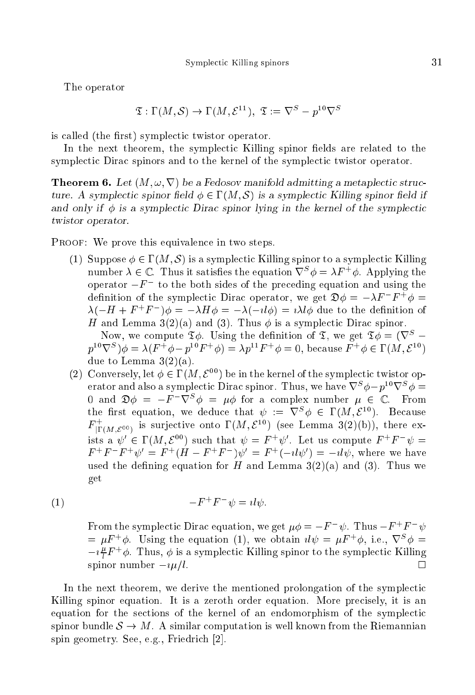The operator

$$
\mathfrak{T}: \Gamma(M, \mathcal{S}) \to \Gamma(M, \mathcal{E}^{11}), \ \mathfrak{T} := \nabla^{S} - p^{10} \nabla^{S}
$$

is called (the first) symplectic twistor operator.

In the next theorem, the symplectic Killing spinor fields are related to the symplectic Dirac spinors and to the kernel of the symplectic twistor operator.

 $\mathbf M$  , and the absolute manifold admitting admitting admitting a metaple admitting a metaple and  $\mathbf M$ ture. A symplectic spinor field  $\phi \in \Gamma(M, \mathcal{S})$  is a symplectic Killing spinor field if and only if  $\phi$  is a symplectic Dirac spinor lying in the kernel of the symplectic twistor operator.

PROOF: We prove this equivalence in two steps.

(1) Suppose  $\phi \in \Gamma(M, \mathcal{S})$  is a symplectic Killing spinor to a symplectic Killing number  $\lambda \in \mathbb{C}$  . Thus it satisfies the equation  $\nabla^{\perp} \varphi = \lambda F$  ,  $\varphi$ . Applying the operator  $-r$  to the both sides of the preceding equation and using the definition of the symplectic Dirac operator, we get  $\mathcal{D}\varphi = -\lambda \mathbf{r} \cdot \mathbf{r} \cdot \varphi =$  $\lambda(-H + F \mid F) \varphi = -\lambda H \varphi = -\lambda(-\mu \varphi) = \iota \lambda \iota \varphi$  due to the definition of H and Lemma 3(2)(a) and (3). Thus is a symple
ti Dira spinor.

Now, we compute  $\mathfrak{T}\phi$ . Using the definition of  $\mathfrak{T}$ , we get  $\mathfrak{T}\phi = (\nabla^S$  $p^2$   $\vee$   $\vee$   $\varphi = \wedge (F \varphi - p^2)F \varphi = \wedge p^2F \varphi = 0$ , because  $F \varphi \in \Gamma(M, \mathcal{L}^*)$ due to Lemma  $3(2)(a)$ .

(2) Conversely, let  $\phi \in \Gamma(M, \mathcal{E}^{00})$  be in the kernel of the symplectic twistor operator and also a symplectic Dirac spinor. I hus, we have  $v^-\varphi - p^{--}v^-\varphi =$  $0$  and  $\mathfrak{D}\emptyset = -F$   $\mathsf{V}^\frown \emptyset = \mu \emptyset$  for a complex number  $\mu \in \mathbb{C}$ . From the first equation, we deduce that  $\psi := \nabla^*\phi \in \Gamma(M, \mathcal{E}^*)$ . Because  $F_{\text{IT}(M,\mathcal{E}^{00})}$  is surjective onto  $\Gamma(M,\mathcal{E}^{18})$  (see Lemma 3(2)(b)), there exists a  $\psi$   $\in$  1 (*M*,  $\zeta$   $\bar{\phantom{a}}$ ) such that  $\psi = F$   $\psi$ . Let us compute  $F$   $F$   $\psi =$  $F \quad F \quad W = F \quad (H - F \quad F \quad) \psi = F \quad (-\iota \iota \psi) = -\iota \iota \psi$ , where we have used the defining equation for H and Lemma  $3(2)(a)$  and  $(3)$ . Thus we get

$$
(1) \qquad \qquad -F^+F^- \psi = i l \psi.
$$

From the symplectic Dirac equation, we get  $\mu\varphi = -F \quad \psi$ . Thus  $-F \quad F \quad \psi$  $= \mu r \phi$  using the equation (1), we obtain  $\mu \psi = \mu r \phi$ , i.e.,  $\nabla \phi =$  $-i\frac{r}{l}F^{\dagger}\phi$ . Thus,  $\phi$  is a symplectic Killing spinor to the symplectic Killing spinor number  $-i\mu/l$ .

In the next theorem, we derive the mentioned prolongation of the symplectic Killing spinor equation. It is a zeroth order equation. More precisely, it is an equation for the sections of the kernel of an endomorphism of the symplectic spinor bundle  $S \to M$ . A similar computation is well known from the Riemannian spin geometry. See, e.g., Friedrich [2].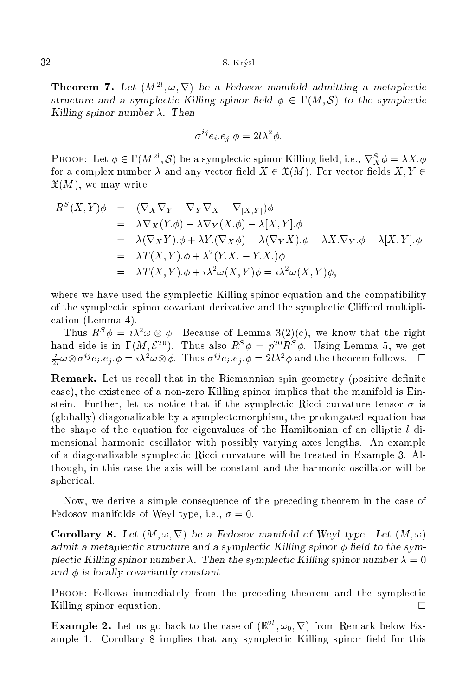$32$  S. Krýsl

**Information** 1. Let  $(M^-, \omega, V)$  be a redosov manifold admitting a metaplectic structure and a symplectic Killing spinor field  $\phi \in \Gamma(M, \mathcal{S})$  to the symplectic Killing spinor number  $\lambda$ . Then

$$
\sigma^{ij}e_i \cdot e_j \cdot \phi = 2l\lambda^2 \phi.
$$

**PROOF:** Let  $\varphi \in \Gamma(M_1, \mathcal{O})$  be a symplectic spinor Killing field, i.e.,  $V_X \varphi = \lambda \Lambda. \varphi$ for a complex number  $\lambda$  and any vector field  $X \in \mathfrak{X}(M)$ . For vector fields  $X, Y \in$  $\mathfrak{X}(M)$ , we may write

$$
R^{S}(X,Y)\phi = (\nabla_{X}\nabla_{Y} - \nabla_{Y}\nabla_{X} - \nabla_{[X,Y]})\phi
$$
  
\n
$$
= \lambda \nabla_{X}(Y,\phi) - \lambda \nabla_{Y}(X,\phi) - \lambda[X,Y].\phi
$$
  
\n
$$
= \lambda(\nabla_{X}Y).\phi + \lambda Y.(\nabla_{X}\phi) - \lambda(\nabla_{Y}X).\phi - \lambda X.\nabla_{Y}.\phi - \lambda[X,Y].\phi
$$
  
\n
$$
= \lambda T(X,Y).\phi + \lambda^{2}(Y.X. - Y.X.)\phi
$$
  
\n
$$
= \lambda T(X,Y).\phi + \iota\lambda^{2}\omega(X,Y)\phi = \iota\lambda^{2}\omega(X,Y)\phi,
$$

where we have used the symplectic Killing spinor equation and the compatibility of the symplectic spinor covariant derivative and the symplectic Clifford multipliation (Lemma 4).

I mus  $R^-\psi = i \lambda^-\omega \otimes \psi$ . Decause of Lemma  $\mathfrak{I}(2)(0)$ , we know that the right hand side is in  $1 \, (M, \mathcal{E}^{-})$ . Thus also  $R^{\ast} \varphi = p^{\ast} R^{\ast} \varphi$ . Using Lemma 5, we get  $\overline{z_l} \omega \otimes \sigma^{\cdot} e_i.e_j.\varphi = i \lambda^{\cdot} \omega \otimes \varphi$ . Thus  $\sigma^{\cdot} e_i.e_j.\varphi = 2i \lambda^{\cdot} \varphi$  and the theorem follows.  $\square$ 

Remark. Let us re
all that in the Riemannian spin geometry (positive denite ase), the existen
e of a non-zero Killing spinor implies that the manifold is Einstein. Further, let us notice that if the symplectic Ricci curvature tensor  $\sigma$  is (globally) diagonalizable by a symple
tomorphism, the prolongated equation has the shape of the equation for eigenvalues of the Hamiltonian of an elliptic  $l$  dimensional harmoni os
illator with possibly varying axes lengths. An example of a diagonalizable symplectic Ricci curvature will be treated in Example 3. Although, in this ase the axis will be onstant and the harmoni os
illator will be spheri
al.

Now, we derive a simple onsequen
e of the pre
eding theorem in the ase of Fedosov manifolds of Weyl type, i.e.,  $\sigma = 0$ .

Corollary 8. Let (M ; !; r) be a Fedosov manifold of Weyl type. Let (M ; !) admit a metaplectic structure and a symplectic Killing spinor  $\phi$  field to the symplectic Killing spinor number  $\lambda$ . Then the symplectic Killing spinor number  $\lambda = 0$ and  $\phi$  is locally covariantly constant.

PROOF: Follows immediately from the preceding theorem and the symplectic Killing spinor equation.  $\Box$ 

**Example 2.** Let us go back to the case of  $(\mathbb{R}, \omega_0, \mathbf{V})$  from Remark below Example 1. Corollary 8 implies that any symplectic Killing spinor field for this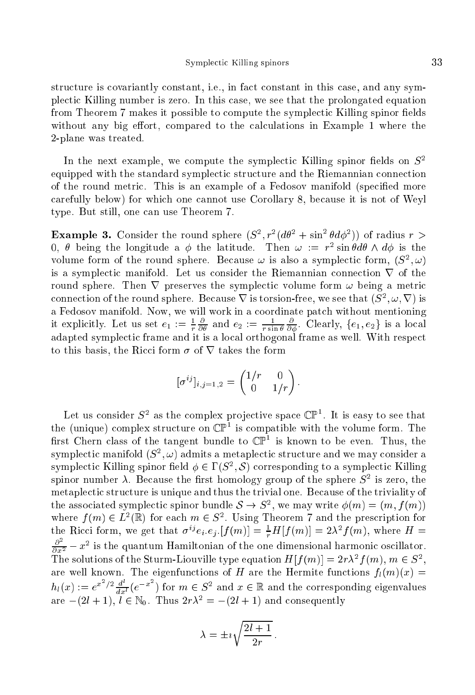structure is covariantly constant, i.e., in fact constant in this case, and any symple
ti Killing number is zero. In this ase, we see that the prolongated equation from Theorem 7 makes it possible to compute the symplectic Killing spinor fields without any big effort, compared to the calculations in Example 1 where the 2-plane was treated.

In the next example, we compute the symplectic Killing spinor fields on  $S^2$ equipped with the standard symplectic structure and the Riemannian connection of the round metric. This is an example of a Fedosov manifold (specified more arefully below) for whi
h one annot use Corollary 8, be
ause it is not of Weyl type. But still, one an use Theorem 7.

**Example 3.** Consider the round sphere  $(S^1, r^2(d\theta^2 + \sin^2 \theta d\phi^2))$  of radius  $r >$ U,  $\sigma$  being the longitude a  $\varphi$  the latitude. Then  $\omega$  :=  $r$  sin  $\sigma$ a $\sigma$   $\wedge$  a $\varphi$  is the volume form of the round sphere. Because  $\omega$  is also a symplectic form,  $(S^-, \omega)$ is a symplectic manifold. Let us consider the Riemannian connection  $\nabla$  of the round sphere. Then  $\nabla$  preserves the symplectic volume form  $\omega$  being a metric connection of the round sphere. Decause  $V$  is torsion-free, we see that  $(S^-, \omega, V)$  is a Fedosov manifold. Now, we will work in a coordinate patch without mentioning it explicitly. Let us set  $e_1 := \frac{1}{r} \frac{\partial}{\partial \theta}$  and  $e_2 := \frac{1}{r \sin \theta} \frac{\partial}{\partial \phi}$ . Clearly,  $\{e_1, e_2\}$  is a local adapted symplectic control frame as well it is a local frame as well. We well as well as well as well. to this basis, the Ricci form  $\sigma$  of  $\nabla$  takes the form

$$
[\sigma^{ij}]_{i,j=1,2} = \begin{pmatrix} 1/r & 0 \\ 0 & 1/r \end{pmatrix}.
$$

Let us consider  $S^2$  as the complex projective space  $\mathbb{CP}^2$ . It is easy to see that the (unique) complex structure on  $\mathbb{CP}^+$  is compatible with the volume form. The first Chern class of the tangent bundle to CP<sup>-</sup> is known to be even. Thus, the symplectic manifold  $(S^-,\omega)$  admits a metaplectic structure and we may consider a symplectic Killing spinor field  $\varphi \in I \left( S^-, \mathcal{S} \right)$  corresponding to a symplectic Killing spinor number  $\lambda$ . Decause the first homology group of the sphere  $S^-$  is zero, the metaplectic structure is unique and thus the trivial one. Because of the triviality of the associated symplectic spinor bundle  $\delta \to \beta^-$ , we may write  $\varphi(m) = (m, f(m))$ where  $f(m) \in L$  (in for each  $m \in S$ ). Using Theorem 7 and the prescription for the Ricci form, we get that  $\sigma^{\square}e_i.e_j$ .  $[f(m)] = \frac{1}{r}H[f(m)] = 2\lambda^{\square}f(m)$ , where  $H =$  $\frac{\partial}{\partial x^2} - x^2$  is the quantum Hamiltonian of the one dimensional harmonic oscillator. The solutions of the Sturm-Liouville type equation  $H[f(m)] = 2r\lambda^2 f(m)$ ,  $m \in S^2$ . are well known. The eigenfunctions of H are the Hermite functions  $f_l(m)(x) =$  $h_l(x) := e^{x^2/2} \frac{d}{dx^l} (e^{-x^2})$  for  $m \in S^2$  and  $x \in \mathbb{R}$  and the corresponding eigenvalues are  $-(2i + 1)$ ,  $i \in \mathbb{N}_0$ . Thus  $2r\lambda = -(2i + 1)$  and consequently

$$
\lambda = \pm i \sqrt{\frac{2l+1}{2r}}
$$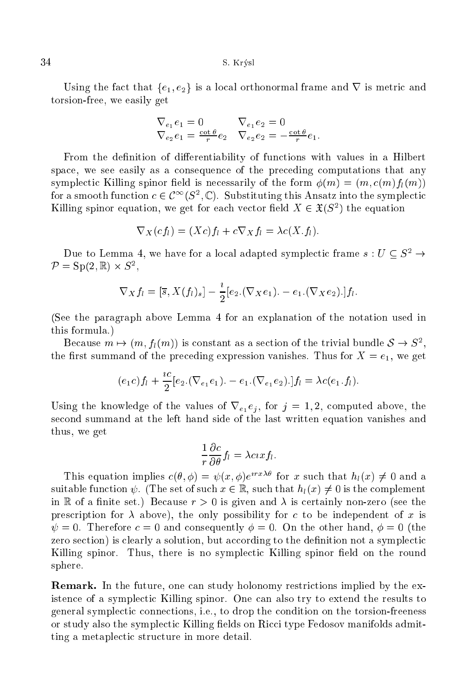Using the fact that  $\{e_1, e_2\}$  is a local orthonormal frame and  $\nabla$  is metric and torsion-free, we easily get

$$
\nabla_{e_1} e_1 = 0 \nabla_{e_1} e_2 = 0
$$
  
\n
$$
\nabla_{e_2} e_1 = \frac{\cot \theta}{r} e_2 \quad \nabla_{e_2} e_2 = -\frac{\cot \theta}{r} e_1.
$$

From the definition of differentiability of functions with values in a Hilbert spa
e, we see easily as a onsequen
e of the pre
eding omputations that any symplectic Killing spinor field is necessarily of the form  $\phi(m) = (m, c(m) f_l(m))$ for a smooth function  $c \in U^-(S^-, \mathbb{C})$ . Substituting this Ansatz into the symplectic Killing spinor equation, we get for each vector field  $\Lambda \in \mathcal{X}(S^-)$  the equation

$$
\nabla_X(cf_l) = (Xc)f_l + c\nabla_X f_l = \lambda c(X.f_l).
$$

Due to Lemma 4, we have for a local adapted symplectic frame  $s: U \subseteq S^2 \rightarrow$  $P = \mathcal{S}P(Z, \mathbb{R}) \times \mathcal{S}^{-1}$ 

$$
\nabla_X f_l = [\overline{s}, X(f_l)_s] - \frac{i}{2} [e_2.(\nabla_X e_1). - e_1.(\nabla_X e_2).] f_l.
$$

(See the paragraph above Lemma 4 for an explanation of the notation used in this formula.)

Because  $m \mapsto (m, f_l(m))$  is constant as a section of the trivial bundle  $\delta \to \delta$ . the first summand of the preceding expression vanishes. Thus for  $X = e_1$ , we get

$$
(e_1c)f_l + \frac{ic}{2}[e_2.(\nabla_{e_1}e_1). - e_1.(\nabla_{e_1}e_2).]f_l = \lambda c(e_1.f_l).
$$

Using the knowledge of the values of  $\nabla_{e_1} e_j$ , for  $j = 1, 2$ , computed above, the se
ond summand at the left hand side of the last written equation vanishes and thus, we get

$$
\frac{1}{r}\frac{\partial c}{\partial \theta}f_l = \lambda c x f_l.
$$

I his equation implies  $c(\theta, \varphi) = \psi(x, \varphi)e^{i\varphi(x)}$  for x such that  $h_l(x) \neq 0$  and a suitable function  $\psi$ . (The set of such  $x \in \mathbb{R}$ , such that  $h_l(x) \neq 0$  is the complement in R of a finite set.) Because  $r > 0$  is given and  $\lambda$  is certainly non-zero (see the prescription for  $\lambda$  above), the only possibility for c to be independent of x is  $\psi = 0$ . Therefore  $c = 0$  and consequently  $\phi = 0$ . On the other hand,  $\phi = 0$  (the zero section) is clearly a solution, but according to the definition not a symplectic Killing spinor. Thus, there is no symplectic Killing spinor field on the round sphere.

Remark. In the future, one an study holonomy restri
tions implied by the existen
e of a symple
ti Killing spinor. One an also try to extend the results to general symple
ti onne
tions, i.e., to drop the ondition on the torsion-freeness or study also the symplectic Killing fields on Ricci type Fedosov manifolds admitting a metaplectic structure in more detail.